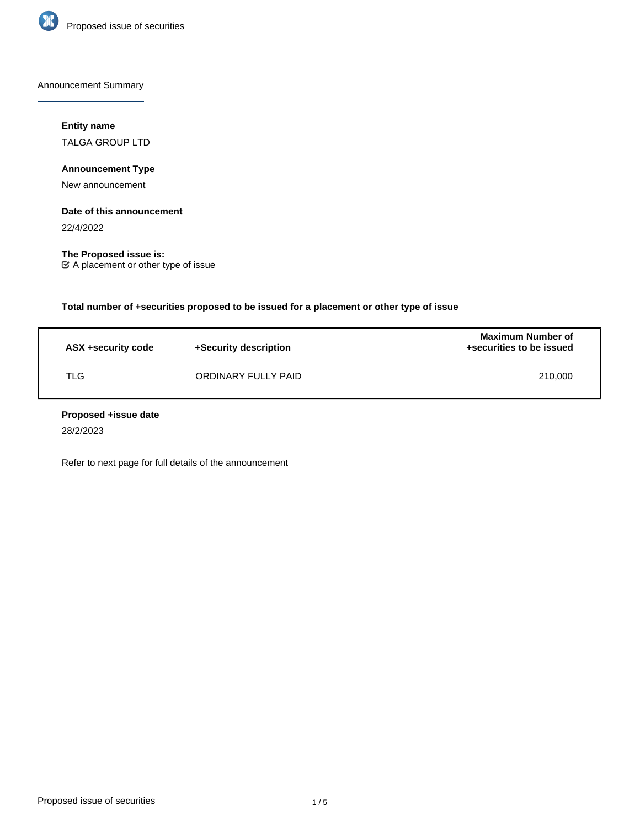

Announcement Summary

# **Entity name**

TALGA GROUP LTD

**Announcement Type**

New announcement

### **Date of this announcement**

22/4/2022

**The Proposed issue is:** A placement or other type of issue

**Total number of +securities proposed to be issued for a placement or other type of issue**

| ASX +security code | +Security description | <b>Maximum Number of</b><br>+securities to be issued |
|--------------------|-----------------------|------------------------------------------------------|
| TLG                | ORDINARY FULLY PAID   | 210,000                                              |

### **Proposed +issue date**

28/2/2023

Refer to next page for full details of the announcement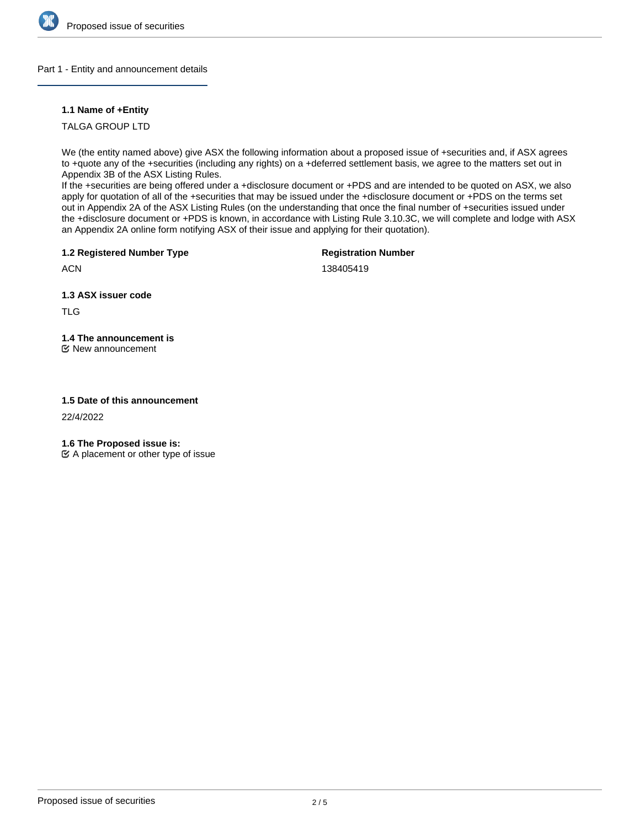

### Part 1 - Entity and announcement details

# **1.1 Name of +Entity**

TALGA GROUP LTD

We (the entity named above) give ASX the following information about a proposed issue of +securities and, if ASX agrees to +quote any of the +securities (including any rights) on a +deferred settlement basis, we agree to the matters set out in Appendix 3B of the ASX Listing Rules.

If the +securities are being offered under a +disclosure document or +PDS and are intended to be quoted on ASX, we also apply for quotation of all of the +securities that may be issued under the +disclosure document or +PDS on the terms set out in Appendix 2A of the ASX Listing Rules (on the understanding that once the final number of +securities issued under the +disclosure document or +PDS is known, in accordance with Listing Rule 3.10.3C, we will complete and lodge with ASX an Appendix 2A online form notifying ASX of their issue and applying for their quotation).

**1.2 Registered Number Type**

**Registration Number**

**ACN** 

138405419

**1.3 ASX issuer code**

TLG

**1.4 The announcement is**

New announcement

# **1.5 Date of this announcement**

22/4/2022

**1.6 The Proposed issue is:**

 $\mathfrak{C}$  A placement or other type of issue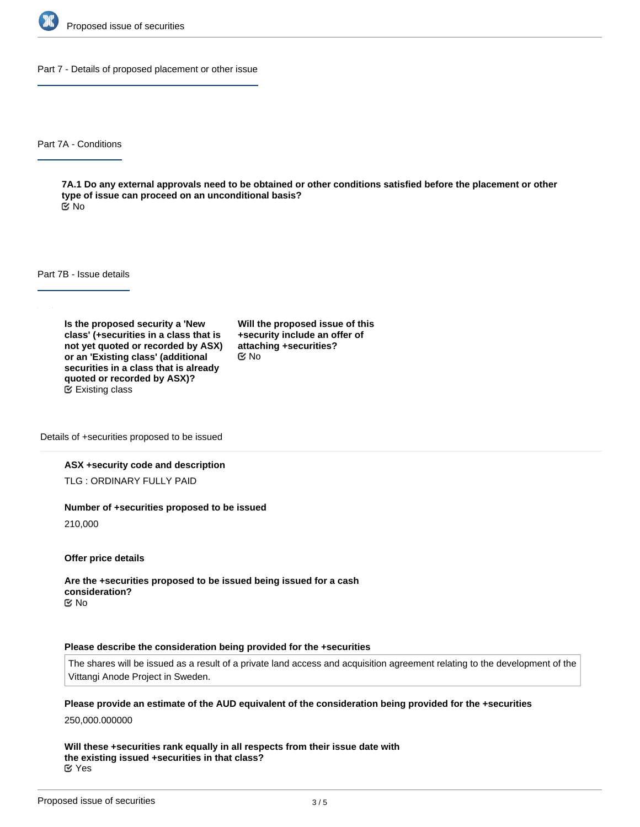

Part 7 - Details of proposed placement or other issue

Part 7A - Conditions

**7A.1 Do any external approvals need to be obtained or other conditions satisfied before the placement or other type of issue can proceed on an unconditional basis?** No

Part 7B - Issue details

**Is the proposed security a 'New class' (+securities in a class that is not yet quoted or recorded by ASX) or an 'Existing class' (additional securities in a class that is already quoted or recorded by ASX)?** Existing class

**Will the proposed issue of this +security include an offer of attaching +securities?** No

Details of +securities proposed to be issued

#### **ASX +security code and description**

TLG : ORDINARY FULLY PAID

#### **Number of +securities proposed to be issued**

210,000

**Offer price details**

**Are the +securities proposed to be issued being issued for a cash consideration?** No

#### **Please describe the consideration being provided for the +securities**

The shares will be issued as a result of a private land access and acquisition agreement relating to the development of the Vittangi Anode Project in Sweden.

**Please provide an estimate of the AUD equivalent of the consideration being provided for the +securities**

250,000.000000

**Will these +securities rank equally in all respects from their issue date with the existing issued +securities in that class?** Yes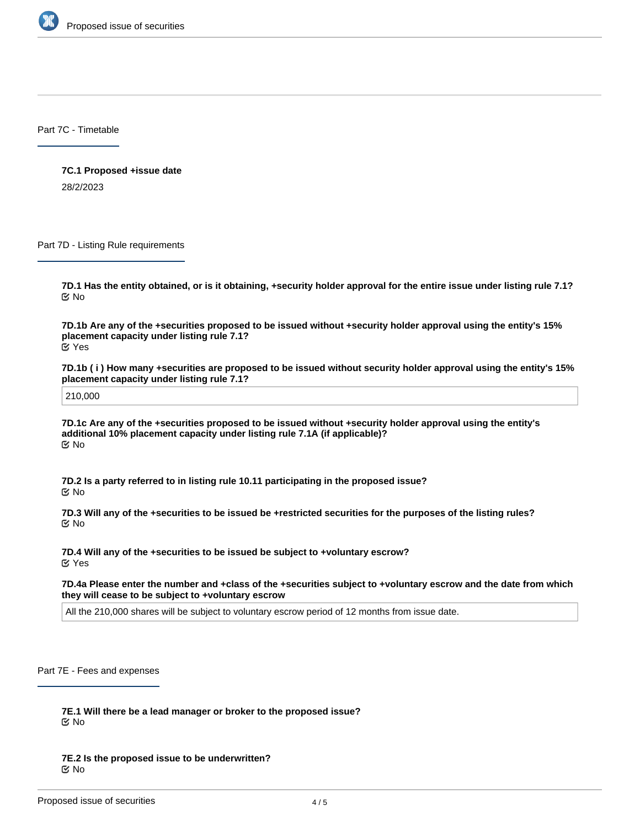

Part 7C - Timetable

**7C.1 Proposed +issue date** 28/2/2023

Part 7D - Listing Rule requirements

**7D.1 Has the entity obtained, or is it obtaining, +security holder approval for the entire issue under listing rule 7.1?** No

**7D.1b Are any of the +securities proposed to be issued without +security holder approval using the entity's 15% placement capacity under listing rule 7.1?** Yes

**7D.1b ( i ) How many +securities are proposed to be issued without security holder approval using the entity's 15% placement capacity under listing rule 7.1?**

210,000

**7D.1c Are any of the +securities proposed to be issued without +security holder approval using the entity's additional 10% placement capacity under listing rule 7.1A (if applicable)?** No

**7D.2 Is a party referred to in listing rule 10.11 participating in the proposed issue?** No

**7D.3 Will any of the +securities to be issued be +restricted securities for the purposes of the listing rules?** No

**7D.4 Will any of the +securities to be issued be subject to +voluntary escrow?** Yes

**7D.4a Please enter the number and +class of the +securities subject to +voluntary escrow and the date from which they will cease to be subject to +voluntary escrow**

All the 210,000 shares will be subject to voluntary escrow period of 12 months from issue date.

Part 7E - Fees and expenses

**7E.1 Will there be a lead manager or broker to the proposed issue?** No

**7E.2 Is the proposed issue to be underwritten?** No